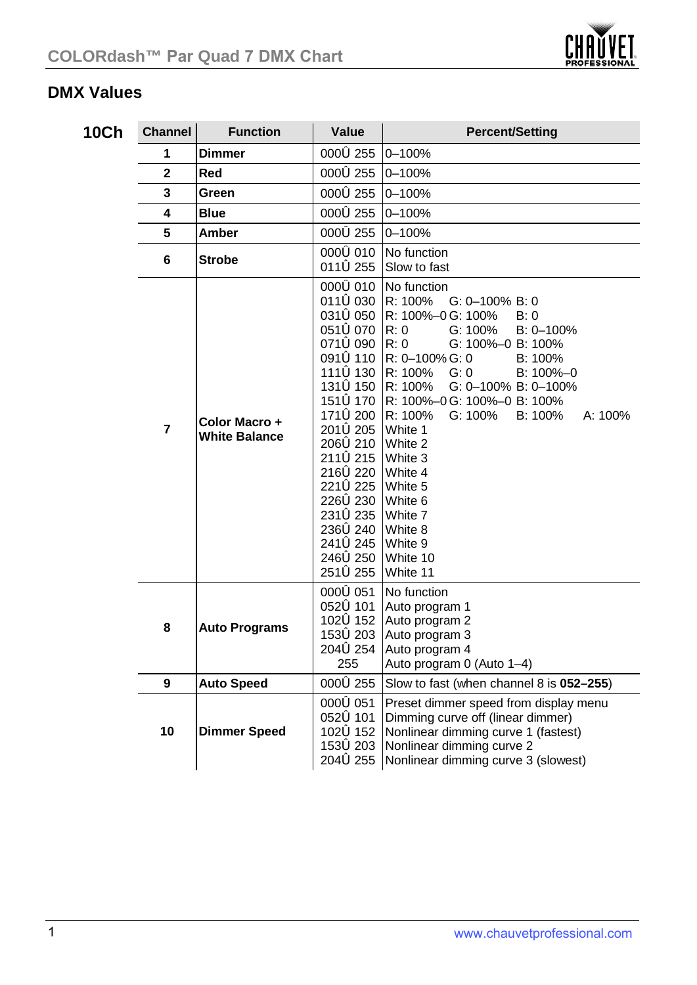

## **DMX Values**

| 10Ch | <b>Channel</b> | <b>Function</b>                       | Value                                                                                                                                                                                                                                                                                                                       | <b>Percent/Setting</b>                                                                                                                                                                                                                                                                                                                                                   |
|------|----------------|---------------------------------------|-----------------------------------------------------------------------------------------------------------------------------------------------------------------------------------------------------------------------------------------------------------------------------------------------------------------------------|--------------------------------------------------------------------------------------------------------------------------------------------------------------------------------------------------------------------------------------------------------------------------------------------------------------------------------------------------------------------------|
|      | 1              | <b>Dimmer</b>                         | 0006255                                                                                                                                                                                                                                                                                                                     | $0 - 100%$                                                                                                                                                                                                                                                                                                                                                               |
|      | $\overline{2}$ | Red                                   | 0006255                                                                                                                                                                                                                                                                                                                     | $0 - 100%$                                                                                                                                                                                                                                                                                                                                                               |
|      | 3              | Green                                 | 0006255                                                                                                                                                                                                                                                                                                                     | $0 - 100%$                                                                                                                                                                                                                                                                                                                                                               |
|      | 4              | Blue                                  | 0006255                                                                                                                                                                                                                                                                                                                     | $0 - 100%$                                                                                                                                                                                                                                                                                                                                                               |
|      | 5              | Amber                                 | 0006255                                                                                                                                                                                                                                                                                                                     | $0 - 100%$                                                                                                                                                                                                                                                                                                                                                               |
|      | 6              | <b>Strobe</b>                         | 0006010<br>011 <b>6</b> 255                                                                                                                                                                                                                                                                                                 | No function<br>Slow to fast                                                                                                                                                                                                                                                                                                                                              |
|      | $\overline{7}$ | Color Macro +<br><b>White Balance</b> | 0006010<br>0116030 R: 100%<br>0516070 R: 0<br>0716090 R: 0<br>091 <b>6</b> 110  <br>1716 200 R: 100%<br>201 <b>6</b> 205<br>2066210 White 2<br>2116215 White 3<br>2166220 White 4<br>221 <b>6</b> 225<br>2266230 White 6<br>231 <b>6</b> 235<br>2366240 White 8<br>241 <b>6</b> 245<br>246 <b>6</b> 250<br>251 <b>ó</b> 255 | No function<br>$G: 0-100\%$ B: 0<br>0316050 R: 100%-0G: 100%<br>B:0<br>G: 100%<br>B: 0-100%<br>G: 100%-0 B: 100%<br>R: 0-100% G: 0<br>B: 100%<br>1116 130 R: 100% G: 0<br>B: 100%-0<br>1316150 R: 100%<br>G: 0-100% B: 0-100%<br>1516170 R: 100%-0G: 100%-0 B: 100%<br>G: 100%<br>B: 100%<br>A: 100%<br>White 1<br>White 5<br>White 7<br>White 9<br>White 10<br>White 11 |
|      | 8              | <b>Auto Programs</b>                  | 000←051<br>052 <b>6</b> 101<br>102 <b>6</b> 152<br>153 <b>6</b> 203<br>204 <b>6</b> 254<br>255                                                                                                                                                                                                                              | No function<br>Auto program 1<br>Auto program 2<br>Auto program 3<br>Auto program 4<br>Auto program 0 (Auto 1-4)                                                                                                                                                                                                                                                         |
|      | 9              | <b>Auto Speed</b>                     | 0006255                                                                                                                                                                                                                                                                                                                     | Slow to fast (when channel 8 is 052-255)                                                                                                                                                                                                                                                                                                                                 |
|      | 10             | <b>Dimmer Speed</b>                   | 000←051<br>0526101<br>102 <b>6</b> 152<br>153 <b>6</b> 203<br>204 <b>6</b> 255                                                                                                                                                                                                                                              | Preset dimmer speed from display menu<br>Dimming curve off (linear dimmer)<br>Nonlinear dimming curve 1 (fastest)<br>Nonlinear dimming curve 2<br>Nonlinear dimming curve 3 (slowest)                                                                                                                                                                                    |